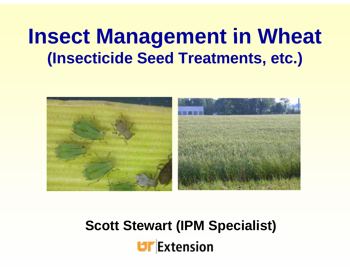## **Insect Management in Wheat (Insecticide Seed Treatments, etc.)**



**Scott Stewart (IPM Specialist)**

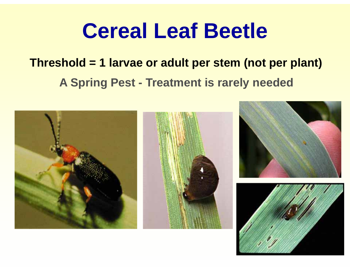## **Cereal** Leaf Beetle

## **Threshold = 1 larvae or adult per stem (not per plant)**

**A Spring Pest - Treatment is rarely needed**

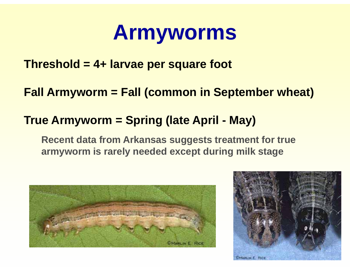# **Armyworms**

**Threshold = 4+ larvae per square foot** 

**Fall Armyworm = Fall (common in September wheat)**

### **True Armyworm = Spring (late April - May)**

**Recent data from Arkansas suggests treatment for true armyworm is rarely needed except during milk stage**



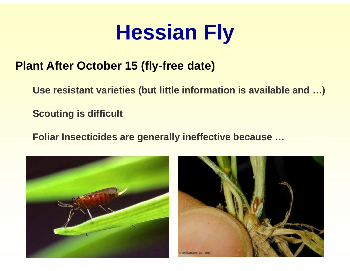# **Hessian Fly**

### **Plant After October 15 (fly-free date)**

**Use resistant varieties (but little information is available and …)**

**Scouting is difficult**

**Foliar Insecticides are generally ineffective because because …**



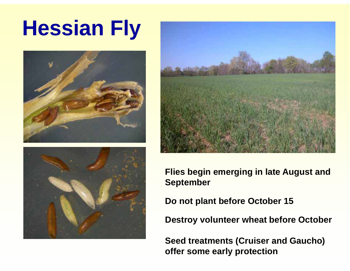# **Hessian Fly**







**Flies begin emerging in late August and September**

**Do not plant before October 15**

**Destroy volunteer wheat before October**

**Seed treatments (Cruiser and Gaucho) offer some early protection**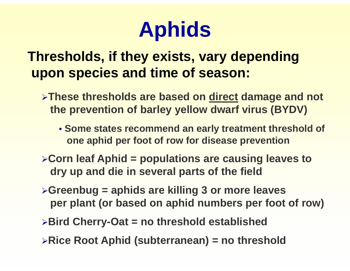# Aphids

## **Thresholds, if they exists, vary depending upon species and time of season:**

- ¾**These thresholds are based on direct damage and not the prevention of barley yellow dwarf virus (BYDV)**
	- **Some states recommend an early treatment threshold of one aphid per foot of row for disease prevention**
- <sup>¾</sup>**Corn leaf Aphid = populations are causing leaves to d d di i l t f th fi ld dry up and die in several parts of the field**
- <sup>¾</sup>**Greenbug = aphids are killing 3 or more leaves** per plant (or based on aphid numbers per foot of row)
- <sup>¾</sup>**Bird Cherry-Oat = no threshold established**
- ¾**Rice Root Aphid (subterranean) = no threshold**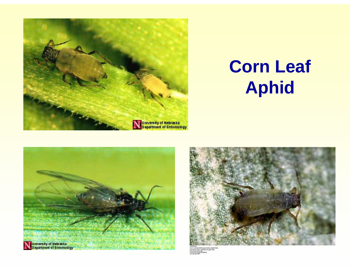

## **Corn Leaf Aphid**



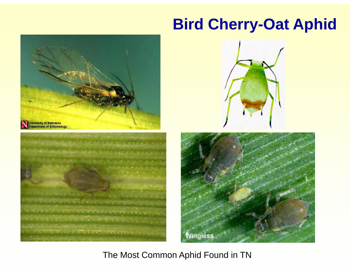## **Bird Cherry-Oat Aphid**



#### The Most Common Aphid Found in TN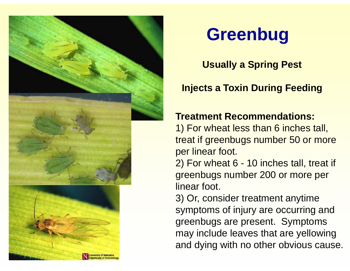

## **Greenbug**

**Usuall y pg a S prin g Pest**

#### **Injects a Toxin During Feeding**

#### **Treatment Recommendations:**

1) For wheat less than 6 inches tall, treat if greenbugs number 50 or more per linear foot.

2 ) For wheat 6 - 10 inches tall, treat if greenbugs number 200 or more per linear foot.

3) Or, consider treatment anytime symptoms of injury are occurring and greenbugs are present. Symptoms may include leaves that are yellowing and dying with no other obvious cause.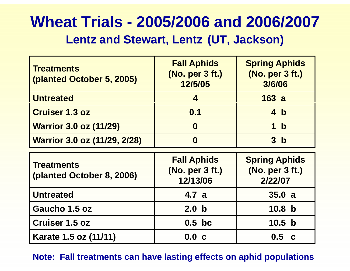# **Wheat Trials - 2005/2006 and 2006/2007**

#### Lentz and Stewart, Lentz (UT, Jackson)

| <b>Treatments</b><br>(planted October 5, 2005) | <b>Fall Aphids</b><br>(No. per 3 ft.)<br>12/5/05  | <b>Spring Aphids</b><br>(No. per 3 ft.)<br>3/6/06  |
|------------------------------------------------|---------------------------------------------------|----------------------------------------------------|
| <b>Untreated</b>                               | $\blacktriangle$                                  | 163a                                               |
| <b>Cruiser 1.3 oz</b>                          | 0.1                                               | 4 b                                                |
| <b>Warrior 3.0 oz (11/29)</b>                  | $\boldsymbol{0}$                                  | $\mathbf b$<br>1                                   |
| Warrior 3.0 oz (11/29, 2/28)                   | $\boldsymbol{0}$                                  | 3 <sub>b</sub>                                     |
|                                                |                                                   |                                                    |
| <b>Treatments</b><br>(planted October 8, 2006) | <b>Fall Aphids</b><br>(No. per 3 ft.)<br>12/13/06 | <b>Spring Aphids</b><br>(No. per 3 ft.)<br>2/22/07 |
| <b>Untreated</b>                               | 4.7a                                              | 35.0a                                              |
| Gaucho 1.5 oz                                  | 2.0 <sub>b</sub>                                  | 10.8 <sub>b</sub>                                  |
| <b>Cruiser 1.5 oz</b>                          | $0.5$ bc                                          | 10.5 <sub>b</sub>                                  |

**Note: Fall treatments can have lasting effects on aphid populations**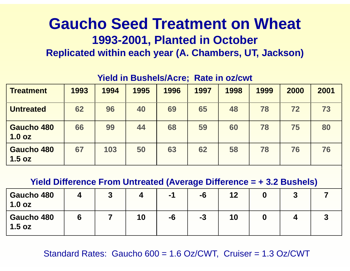### **Gaucho Seed Treatment on Wheat** 1993-2001, Planted in October **Replicated within each year (A. Chambers, UT, Jackson)**

| <b>Treatment</b>            | 1993 | 1994 | 1995 | 1996 | 1997 | 1998 | 1999 | 2000 | 2001 |
|-----------------------------|------|------|------|------|------|------|------|------|------|
| <b>Untreated</b>            | 62   | 96   | 40   | 69   | 65   | 48   | 78   | 72   | 73   |
| <b>Gaucho 480</b><br>1.0 oz | 66   | 99   | 44   | 68   | 59   | 60   | 78   | 75   | 80   |
| <b>Gaucho 480</b><br>1.5 oz | 67   | 103  | 50   | 63   | 62   | 58   | 78   | 76   | 76   |

#### **Yield in Bushels/Acre; Rate in oz/cwt**

**Yield Difference From Untreated (Average Difference = + 3.2 Bushels)**

| <b>Gaucho 480</b><br>1.0 oz | ν |    | $-1$ | -6   | 12 |  |  |
|-----------------------------|---|----|------|------|----|--|--|
| Gaucho 480<br>1.5 oz        |   | 10 | -6   | $-3$ | 10 |  |  |

Standard Rates: Gaucho 600 = 1.6 Oz/CWT, Cruiser = 1.3 Oz/CWT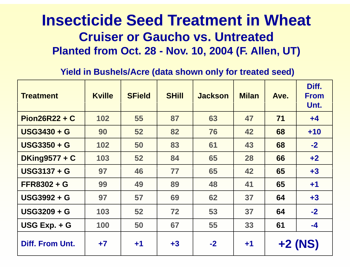### **Insecticide Seed Treatment in Wheat Cruiser or Gaucho vs Untreated vs. Planted from Oct. 28 - Nov. 10, 2004 (F. Allen, UT)**

#### Yield in Bushels/Acre (data shown only for treated seed)

| <b>Treatment</b>     | <b>Kville</b> | <b>SField</b> | <b>SHill</b> | <b>Jackson</b> | <b>Milan</b> | Ave. | Diff.<br><b>From</b><br>Unt. |
|----------------------|---------------|---------------|--------------|----------------|--------------|------|------------------------------|
| $Pion26R22 + C$      | 102           | 55            | 87           | 63             | 47           | 71   | $+4$                         |
| <b>USG3430 + G</b>   | 90            | 52            | 82           | 76             | 42           | 68   | $+10$                        |
| <b>USG3350 + G</b>   | 102           | 50            | 83           | 61             | 43           | 68   | $-2$                         |
| <b>DKing9577 + C</b> | 103           | 52            | 84           | 65             | 28           | 66   | $+2$                         |
| <b>USG3137 + G</b>   | 97            | 46            | 77           | 65             | 42           | 65   | $+3$                         |
| <b>FFR8302 + G</b>   | 99            | 49            | 89           | 48             | 41           | 65   | $+1$                         |
| <b>USG3992 + G</b>   | 97            | 57            | 69           | 62             | 37           | 64   | $+3$                         |
| <b>USG3209 + G</b>   | 103           | 52            | 72           | 53             | 37           | 64   | $-2$                         |
| USG Exp. + G         | 100           | 50            | 67           | 55             | 33           | 61   | $-4$                         |
| Diff. From Unt.      | $+7$          | $+1$          | $+3$         | $-2$           | $+1$         |      | $+2$ (NS)                    |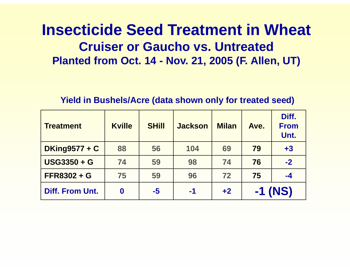## **Insecticide Seed Treatment in Wheat Cruiser or Gaucho vs. UntreatedPlanted from Oct. 14 - Nov. 21, 2005 (F. Allen, UT)**

#### **Yield in Bushels/Acre (data shown only for treated seed) shown**

| <b>Treatment</b>     | <b>Kville</b>    | <b>SHill</b> | <b>Jackson</b> | <b>Milan</b> | Ave. | Diff.<br><b>From</b><br>Unt. |
|----------------------|------------------|--------------|----------------|--------------|------|------------------------------|
| <b>DKing9577 + C</b> | 88               | 56           | 104            | 69           | 79   | $+3$                         |
| <b>USG3350 + G</b>   | 74               | 59           | 98             | 74           | 76   | $-2$                         |
| <b>FFR8302 + G</b>   | 75               | 59           | 96             | 72           | 75   | $-4$                         |
| Diff. From Unt.      | $\boldsymbol{0}$ | $-5$         | $-1$           | $+2$         |      | $-1$ (NS)                    |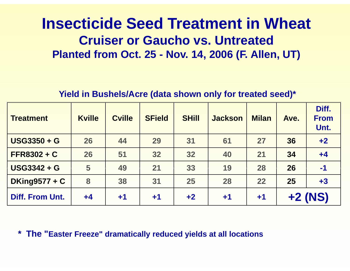## **Insecticide Seed Treatment in Wheat Cruiser or Gaucho vs. Untreated Planted from Oct. 25 - Nov. 14, 2006 (F. Allen, UT)**

#### **Yield in Bushels/Acre (data shown only for treated seed)\***

| <b>Treatment</b>       | <b>Kville</b> | <b>Cville</b> | <b>SField</b> | <b>SHill</b> | <b>Jackson</b> | <b>Milan</b> | Ave. | Diff.<br><b>From</b><br>Unt. |
|------------------------|---------------|---------------|---------------|--------------|----------------|--------------|------|------------------------------|
| <b>USG3350 + G</b>     | 26            | 44            | 29            | 31           | 61             | 27           | 36   | $+2$                         |
| $FFR8302 + C$          | 26            | 51            | 32            | 32           | 40             | 21           | 34   | $+4$                         |
| <b>USG3342 + G</b>     | 5             | 49            | 21            | 33           | 19             | 28           | 26   | $-1$                         |
| <b>DKing9577 + C</b>   | 8             | 38            | 31            | 25           | 28             | 22           | 25   | $+3$                         |
| <b>Diff. From Unt.</b> | $+4$          | $+1$          | $+1$          | $+2$         | $+1$           | $+1$         |      | $+2$ (NS)                    |

**\* The "Easter Freeze Easter " dramatically reduced yields at all locations**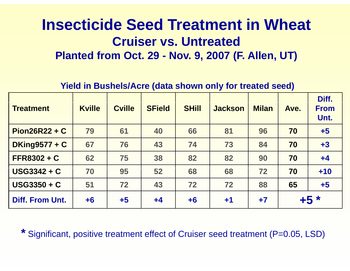## **Insecticide Seed Treatment in Wheat Cruiser vs. UntreatedPlanted from Oct. 29 - Nov. 9, 2007 (F. Allen, UT)**

**Yield in Bushels/Acre (data shown only for treated seed)**

| <b>Treatment</b>       | <b>Kville</b> | <b>Cville</b> | <b>SField</b> | <b>SHill</b> | <b>Jackson</b> | <b>Milan</b> | Ave. | Diff.<br><b>From</b><br>Unt. |
|------------------------|---------------|---------------|---------------|--------------|----------------|--------------|------|------------------------------|
| $Pion26R22 + C$        | 79            | 61            | 40            | 66           | 81             | 96           | 70   | $+5$                         |
| <b>DKing9577 + C</b>   | 67            | 76            | 43            | 74           | 73             | 84           | 70   | $+3$                         |
| $FFR8302 + C$          | 62            | 75            | 38            | 82           | 82             | 90           | 70   | $+4$                         |
| $USG3342 + C$          | 70            | 95            | 52            | 68           | 68             | 72           | 70   | $+10$                        |
| $USG3350 + C$          | 51            | 72            | 43            | 72           | 72             | 88           | 65   | $+5$                         |
| <b>Diff. From Unt.</b> | $+6$          | $+5$          | $+4$          | $+6$         | $+1$           | $+7$         | $+5$ | $\ast$                       |

\* Significant, positive treatment effect of Cruiser seed treatment (P=0.05, LSD)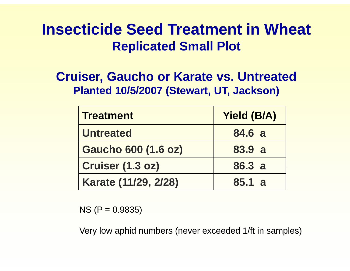## **Insecticide Seed Treatment in Wheat Replicated Small Plot**

### **Cruiser, Gaucho or Karate vs. Untreated Planted 10/5/2007 (Stewart, UT, Jackson)**

| <b>Treatment</b>           | <b>Yield (B/A)</b> |
|----------------------------|--------------------|
| <b>Untreated</b>           | 84.6 a             |
| <b>Gaucho 600 (1.6 oz)</b> | 83.9 a             |
| <b>Cruiser (1.3 oz)</b>    | 86.3 a             |
| Karate (11/29, 2/28)       | 85.1 a             |

NS (P = 0.9835)

Very low aphid numbers (never exceeded 1/ft in samples)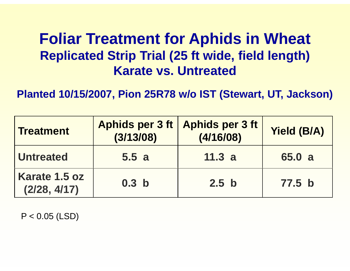## **Foliar Treatment for Aphids in Wheat Replicated Strip Trial (25 ft wide, field length) Karate vs Untreated vs.**

**Planted 10/15/2007, Pion 25R78 w/o IST (Stewart, UT, Jackson)**

| <b>Treatment</b>              | (3/13/08)        | Aphids per 3 ft   Aphids per 3 ft<br>(4/16/08) | <b>Yield (B/A)</b> |
|-------------------------------|------------------|------------------------------------------------|--------------------|
| <b>Untreated</b>              | 5.5a             | 11.3 a                                         | 65.0 a             |
| Karate 1.5 oz<br>(2/28, 4/17) | 0.3 <sub>b</sub> | 2.5 <sub>b</sub>                               | 77.5 <sub>b</sub>  |

P < 0.05 (LSD)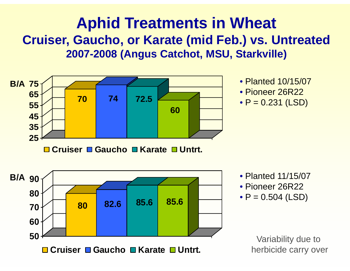## **Aphid Treatments in Wheat** Cruiser, Gaucho, or Karate (mid Feb.) vs. Untreated **2007-2008 (Angus Catchot, MSU, Starkville)**



- Planted 10/15/07
- Pioneer 26R22
- P = 0.231 (LSD

- Planted 11/15/07
- Pioneer 26R22
- $\bullet$  P = 0.504 (LSD)

Variability due to herbicide carry over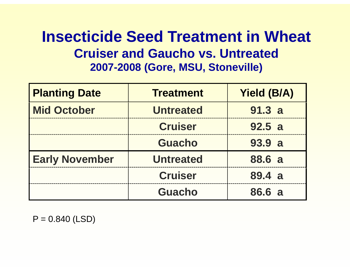## **Insecticide Seed Treatment in Wheat Cruiser and Gaucho vs. Untreated2007 -2008 (Gore, MSU, Stoneville) 2008**

| <b>Planting Date</b>  | <b>Treatment</b> | <b>Yield (B/A)</b> |  |
|-----------------------|------------------|--------------------|--|
| <b>Mid October</b>    | <b>Untreated</b> | 91.3 a             |  |
|                       | <b>Cruiser</b>   | 92.5a              |  |
|                       | <b>Guacho</b>    | 93.9 a             |  |
| <b>Early November</b> | <b>Untreated</b> | 88.6 a             |  |
|                       | <b>Cruiser</b>   | 89.4 a             |  |
|                       | <b>Guacho</b>    | 86.6 a             |  |

 $P = 0.840$  (LSD)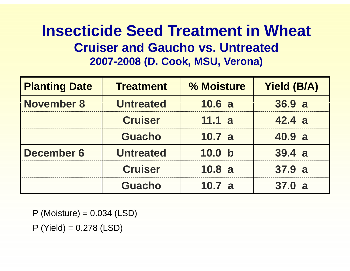## **Insecticide Seed Treatment in Wheat Cruiser and Gaucho vs. Untreated2007-2008 (D. Cook, MSU, Verona)**

| <b>Planting Date</b> | <b>Treatment</b> | % Moisture        | <b>Yield (B/A)</b> |
|----------------------|------------------|-------------------|--------------------|
| November 8           | <b>Untreated</b> | 10.6 a            | 36.9a              |
|                      | <b>Cruiser</b>   | 11.1 a            | 42.4a              |
|                      | <b>Guacho</b>    | 10.7 a            | 40.9 a             |
| <b>December 6</b>    | <b>Untreated</b> | 10.0 <sub>b</sub> | 39.4a              |
|                      | <b>Cruiser</b>   | 10.8a             | 37.9 a             |
|                      | <b>Guacho</b>    | 10.7 a            | 37.0 a             |

 $P$  (Moisture) = 0.034 (LSD)

P (Yield) = 0.278 (LSD)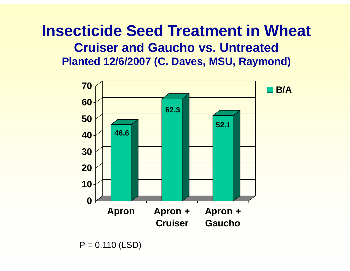### **Insecticide Seed Treatment in Wheat Cruiser and Gaucho vs. UntreatedPlanted 12/6/2007 (C. Daves, MSU, Raymond)**



 $P = 0.110$  (LSD)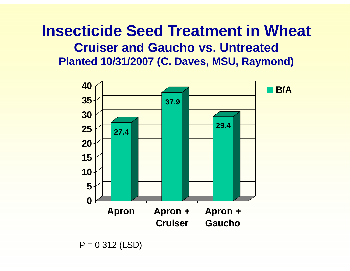### **Insecticide Seed Treatment in Wheat Cruiser and Gaucho vs. UntreatedPlanted 10/31/2007 (C. Daves, MSU, Raymond)**



 $P = 0.312$  (LSD)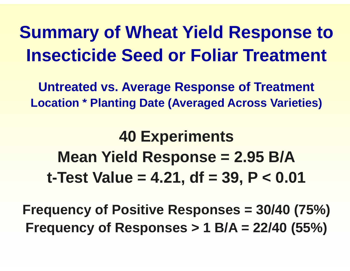## **Summary of Wheat Yield Response to Insecticide Seed or Foliar Treatment**

**Untreated vs. Average Response of Treatment Location \* Planting Date (Averaged Across Varieties) Date**

## **40 Experiments Mean Yield Response = 2.95 B/A t-Test Value = 4.21, df = 39, P < 0.01**

**Frequency of Positive Responses = 30/40 (75%) Fre q y p () uenc y of Res ponses > 1 B/A = 22/40 (55% )**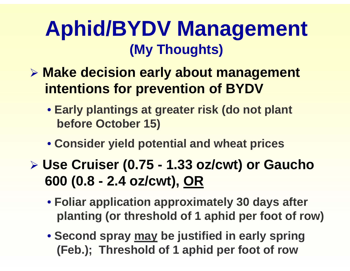## **Ap g hid/BYDV Management (My Thoughts)**

- ¾ **Mk d ii l b t t Make decision early about management intentions for prevention of BYDV**
	- **Early plantings at greater risk (do not plant before October 15)**
	- **Consider yield potential and wheat prices**
- ¾ **Use Cruiser (0.75 - 1.33 oz/cwt) or Gaucho Gaucho 600 (0.8 - 2.4 oz/cwt), OR**
	- **Foliar application approximately 30 days after planting (or threshold of 1 aphid per foot of row)**
	- **Second spray may be justified in early spring (Feb.); Threshold of 1 aphid per foot of row**